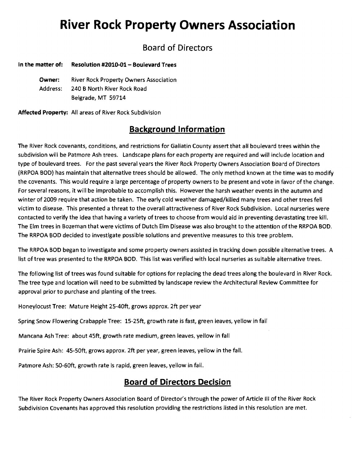# **River Rock Property Owners Association**

## Board of Directors

#### In the matter of: Resolution #2010-01 - Boulevard Trees

Owner: River Rock Property Owners Association Address: 240 B North River Rock Road Belgrade, MT 59714

Affected Property: All areas of River Rock Subdivision

## **Background Information**

The River Rock covenants, conditions, and restrictions for Gallatin County assert that all boulevard trees within the subdivision will be Patmore Ash trees. Landscape plans for each property are required and will include location and type of boulevard trees. For the past several years the River Rock Property Owners Association Board of Directors (RRPOA BOD) has maintain that alternative trees should be allowed. The only method known at the time was to modify the covenants. This would require a large percentage of property owners to be present and vote in favor of the change. For several reasons, it will be improbable to accomplish this. However the harsh weather events in the autumn and winter of 2009 require that action be taken. The early cold weather damaged/killed many trees and other trees fell victim to disease. This presented a threat to the overall attractiveness of River Rock Subdivision. Local nurseries were contacted to verify the idea that having a variety of trees to choose from would aid in preventing devastating tree kill. The Elm trees in Bozeman that were victims of Dutch Elm Disease was also brought to the attention of the RRPOA BOD. The RRPOA BOD decided to investigate possible solutions and preventive measures to this tree problem.

The RRPOA BOD began to investigate and some property owners assisted in tracking down possible alternative trees. A list of tree was presented to the RRPOA BOD. This list was verified with local nurseries as suitable alternative trees.

The following list of trees was found suitable for options for replacing the dead trees along the boulevard in River Rock. The tree type and location will need to be submitted by landscape review the Architectural Review Committee for approval prior to purchase and planting of the trees.

Honeylocust Tree: Mature Height 25-40ft, grows approx. 2ft per year

Spring Snow Flowering Crabapple Tree: 15-25ft, growth rate is fast, green leaves, yellow in fall

Mancana Ash Tree: about 45ft, growth rate medium, green leaves, yellow in fall

Prairie Spire Ash: 45-50ft, grows approx. 2ft per year, green leaves, yellow in the fall.

Patmore Ash: 50-60ft, growth rate is rapid, green leaves, yellow in fall.

#### **Board of Directors Decision**

The River Rock Property Owners Association Board of Director's through the power of Article III of the River Rock Subdivision Covenants has approved this resolution providing the restrictions listed in this resolution are met.